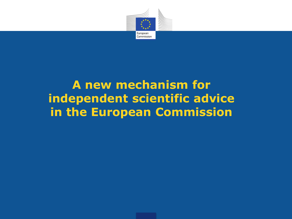

#### **A new mechanism for independent scientific advice in the European Commission**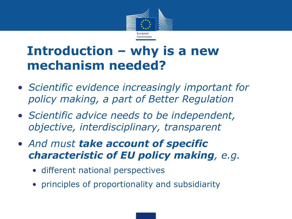

#### **Introduction – why is a new mechanism needed?**

- *Scientific evidence increasingly important for policy making, a part of Better Regulation*
- *Scientific advice needs to be independent, objective, interdisciplinary, transparent*
- *And must take account of specific characteristic of EU policy making, e.g.*
	- different national perspectives
	- principles of proportionality and subsidiarity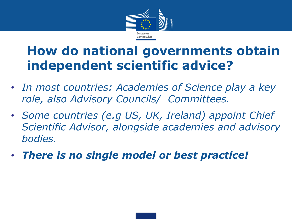

## **How do national governments obtain independent scientific advice?**

- *In most countries: Academies of Science play a key role, also Advisory Councils/ Committees.*
- *Some countries (e.g US, UK, Ireland) appoint Chief Scientific Advisor, alongside academies and advisory bodies.*
- *There is no single model or best practice!*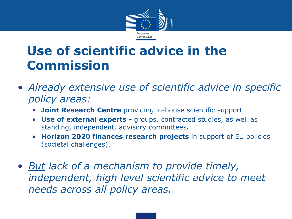

## **Use of scientific advice in the Commission**

- *Already extensive use of scientific advice in specific policy areas:*
	- **Joint Research Centre** providing in-house scientific support
	- **Use of external experts -** groups, contracted studies, as well as standing, independent, advisory committees**.**
	- **Horizon 2020 finances research projects** in support of EU policies (societal challenges).
- *But lack of a mechanism to provide timely, independent, high level scientific advice to meet needs across all policy areas.*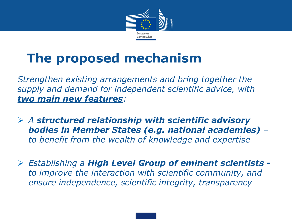

# **The proposed mechanism**

*Strengthen existing arrangements and bring together the supply and demand for independent scientific advice, with two main new features:*

- *A structured relationship with scientific advisory bodies in Member States (e.g. national academies) – to benefit from the wealth of knowledge and expertise*
- *Establishing a High Level Group of eminent scientists to improve the interaction with scientific community, and ensure independence, scientific integrity, transparency*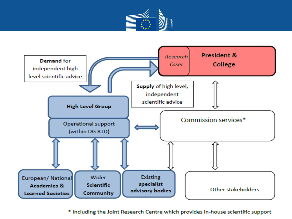



\* Including the Joint Research Centre which provides in-house scientific support